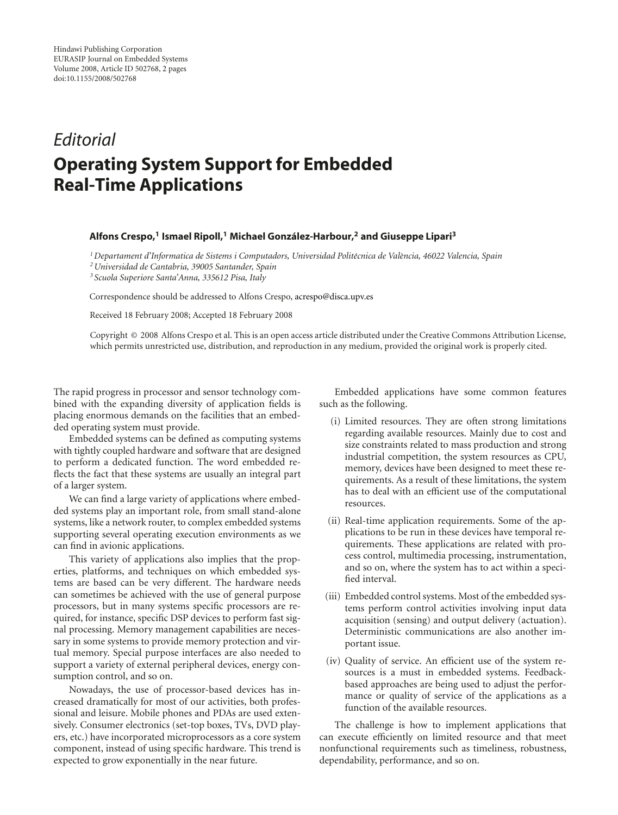# *Editorial* **Operating System Support for Embedded Real-Time Applications**

## **Alfons Crespo,1 Ismael Ripoll,1 Michael Gonzalez-Harbour, ´ <sup>2</sup> and Giuseppe Lipari3**

<sup>1</sup> Departament d'Informatica de Sistems i Computadors, Universidad Politécnica de València, 46022 Valencia, Spain

*2Universidad de Cantabria, 39005 Santander, Spain*

*<sup>3</sup> Scuola Superiore Santa'Anna, 335612 Pisa, Italy*

Correspondence should be addressed to Alfons Crespo, acrespo@disca.upv.es

Received 18 February 2008; Accepted 18 February 2008

Copyright © 2008 Alfons Crespo et al. This is an open access article distributed under the Creative Commons Attribution License, which permits unrestricted use, distribution, and reproduction in any medium, provided the original work is properly cited.

The rapid progress in processor and sensor technology combined with the expanding diversity of application fields is placing enormous demands on the facilities that an embedded operating system must provide.

Embedded systems can be defined as computing systems with tightly coupled hardware and software that are designed to perform a dedicated function. The word embedded reflects the fact that these systems are usually an integral part of a larger system.

We can find a large variety of applications where embedded systems play an important role, from small stand-alone systems, like a network router, to complex embedded systems supporting several operating execution environments as we can find in avionic applications.

This variety of applications also implies that the properties, platforms, and techniques on which embedded systems are based can be very different. The hardware needs can sometimes be achieved with the use of general purpose processors, but in many systems specific processors are required, for instance, specific DSP devices to perform fast signal processing. Memory management capabilities are necessary in some systems to provide memory protection and virtual memory. Special purpose interfaces are also needed to support a variety of external peripheral devices, energy consumption control, and so on.

Nowadays, the use of processor-based devices has increased dramatically for most of our activities, both professional and leisure. Mobile phones and PDAs are used extensively. Consumer electronics (set-top boxes, TVs, DVD players, etc.) have incorporated microprocessors as a core system component, instead of using specific hardware. This trend is expected to grow exponentially in the near future.

Embedded applications have some common features such as the following.

- (i) Limited resources. They are often strong limitations regarding available resources. Mainly due to cost and size constraints related to mass production and strong industrial competition, the system resources as CPU, memory, devices have been designed to meet these requirements. As a result of these limitations, the system has to deal with an efficient use of the computational resources.
- (ii) Real-time application requirements. Some of the applications to be run in these devices have temporal requirements. These applications are related with process control, multimedia processing, instrumentation, and so on, where the system has to act within a specified interval.
- (iii) Embedded control systems. Most of the embedded systems perform control activities involving input data acquisition (sensing) and output delivery (actuation). Deterministic communications are also another important issue.
- (iv) Quality of service. An efficient use of the system resources is a must in embedded systems. Feedbackbased approaches are being used to adjust the performance or quality of service of the applications as a function of the available resources.

The challenge is how to implement applications that can execute efficiently on limited resource and that meet nonfunctional requirements such as timeliness, robustness, dependability, performance, and so on.